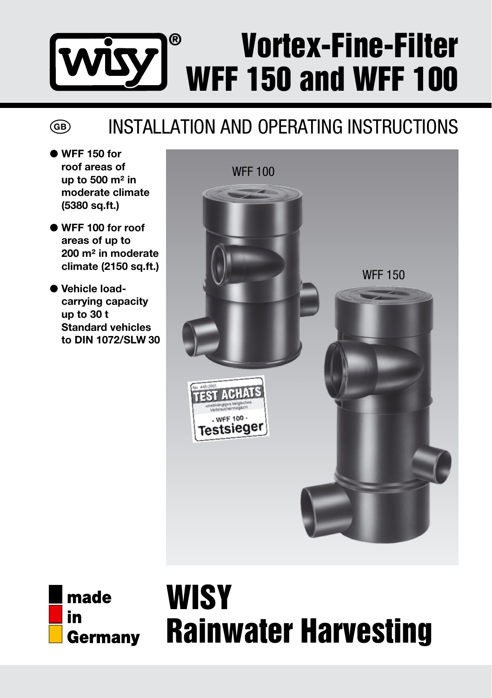### Vortex-Fine-Filter ඹ WFF 150 and WFF 100

### Installation and Operating Instructions

● WFF 150 for roof areas of up to 500 m² in moderate climate (5380 sq.ft.)

 $\binom{GB}{}$ 

- ● WFF 100 for roof areas of up to 200 m² in moderate climate (2150 sq.ft.)
- ● Vehicle loadcarrying capacity up to 30 t Standard vehicles to DIN 1072/SLW 30





# **WISY** Rainwater Harvesting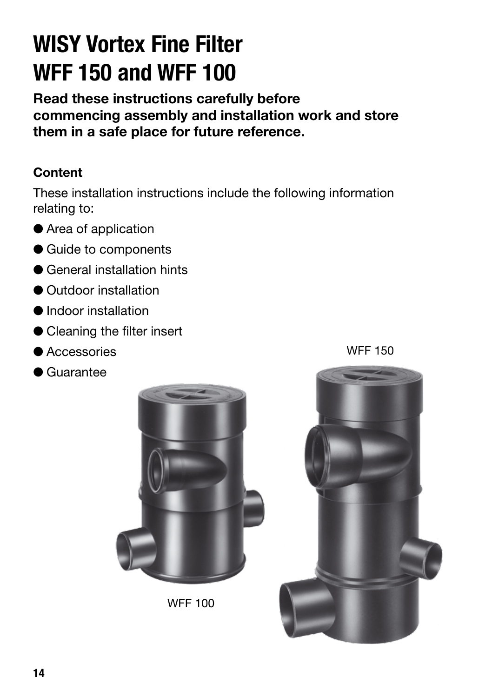## **WISY Vortex Fine Filter WFF 150 and WFF 100**

**Read these instructions carefully before commencing assembly and installation work and store them in a safe place for future reference.**

#### **Content**

These installation instructions include the following information relating to:

- Area of application
- Guide to components
- General installation hints
- Outdoor installation
- Indoor installation
- Cleaning the filter insert
- Accessories
- Guarantee



WFF 100



WFF 150

**14**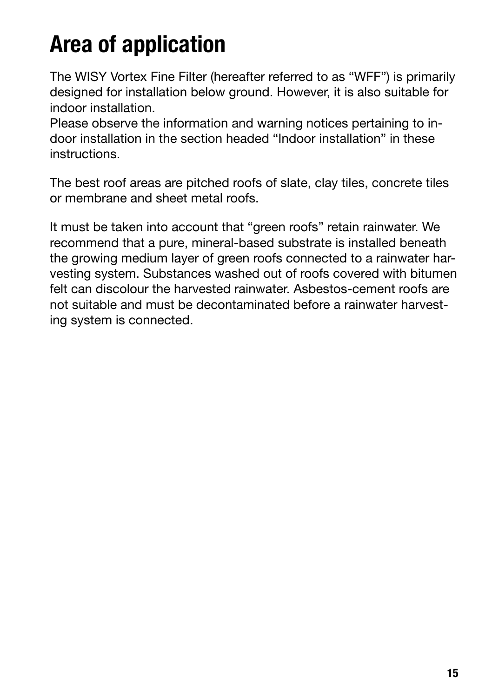# **Area of application**

The WISY Vortex Fine Filter (hereafter referred to as "WFF") is primarily designed for installation below ground. However, it is also suitable for indoor installation.

Please observe the information and warning notices pertaining to indoor installation in the section headed "Indoor installation" in these instructions.

The best roof areas are pitched roofs of slate, clay tiles, concrete tiles or membrane and sheet metal roofs.

It must be taken into account that "green roofs" retain rainwater. We recommend that a pure, mineral-based substrate is installed beneath the growing medium layer of green roofs connected to a rainwater harvesting system. Substances washed out of roofs covered with bitumen felt can discolour the harvested rainwater. Asbestos-cement roofs are not suitable and must be decontaminated before a rainwater harvesting system is connected.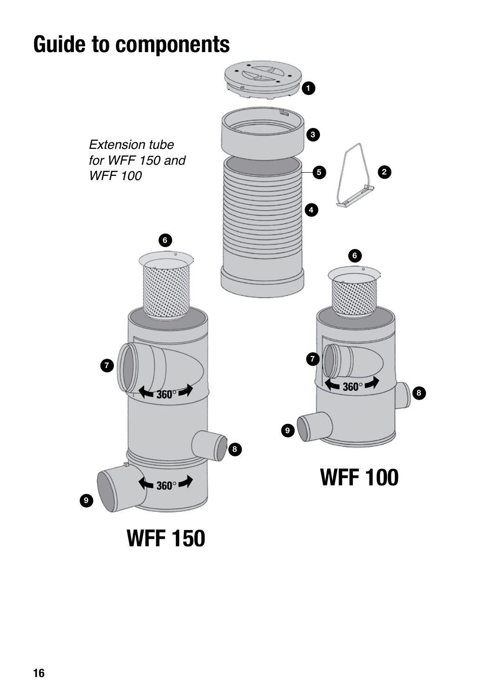### **Guide to components**



**WFF 150**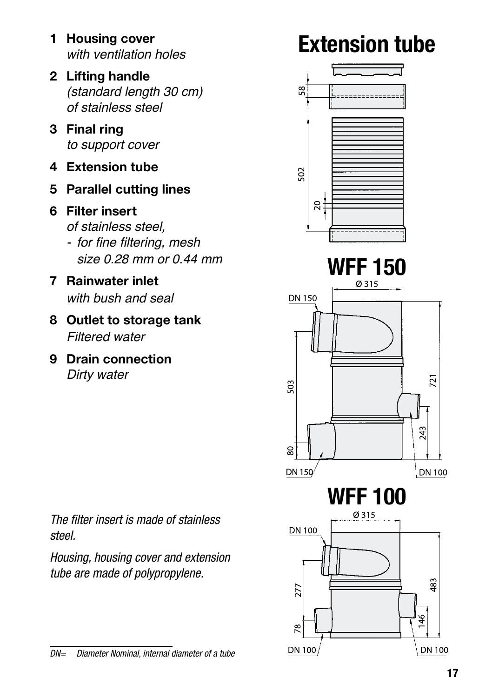- **1 Housing cover** with ventilation holes
- **2 Lifting handle** (standard length 30 cm) of stainless steel
- **3 Final ring** to support cover
- **4 Extension tube**
- **5 Parallel cutting lines**
- **6 Filter insert** of stainless steel,
	- for fine filtering, mesh size 0.28 mm or 0.44 mm
- **7 Rainwater inlet** with bush and seal
- **8 Outlet to storage tank** Filtered water
- **9 Drain connection** Dirty water



*Housing, housing cover and extension tube are made of polypropylene.*



#### *DN= Diameter Nominal, internal diameter of a tube*

**DN 100** 

 $721$ 

243

**DN 100** 

483

 $\frac{6}{4}$ 

# **Extension tube**

 $\frac{8}{2}$ 

502

**DN 150** 

 $\approx$   $\frac{1}{4}$ 

**WFF 150**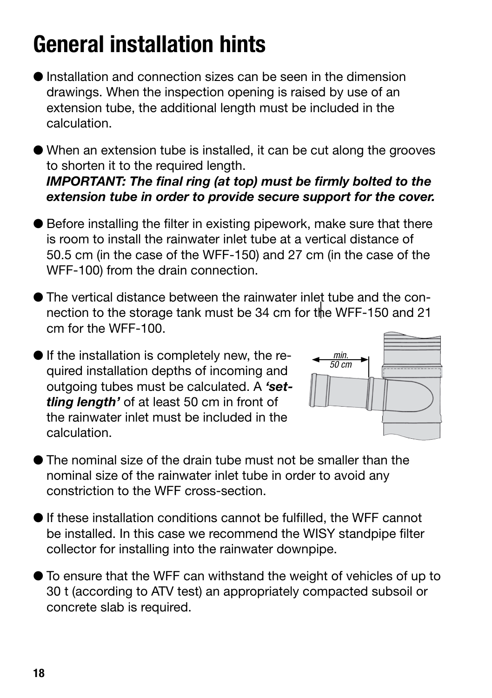# **General installation hints**

- $\bullet$  Installation and connection sizes can be seen in the dimension drawings. When the inspection opening is raised by use of an extension tube, the additional length must be included in the calculation.
- When an extension tube is installed, it can be cut along the grooves to shorten it to the required length.

*IMPORTANT: The final ring (at top) must be firmly bolted to the extension tube in order to provide secure support for the cover.*

- Before installing the filter in existing pipework, make sure that there is room to install the rainwater inlet tube at a vertical distance of 50.5 cm (in the case of the WFF-150) and 27 cm (in the case of the WFF-100) from the drain connection.
- The vertical distance between the rainwater inlet tube and the connection to the storage tank must be 34 cm for the WFF-150 and 21 cm for the WFF-100.
- If the installation is completely new, the required installation depths of incoming and outgoing tubes must be calculated. A *'settling length'* of at least 50 cm in front of the rainwater inlet must be included in the calculation.



- The nominal size of the drain tube must not be smaller than the nominal size of the rainwater inlet tube in order to avoid any constriction to the WFF cross-section.
- $\bullet$  If these installation conditions cannot be fulfilled, the WFF cannot be installed. In this case we recommend the WISY standpipe filter collector for installing into the rainwater downpipe.
- To ensure that the WFF can withstand the weight of vehicles of up to 30 t (according to ATV test) an appropriately compacted subsoil or concrete slab is required.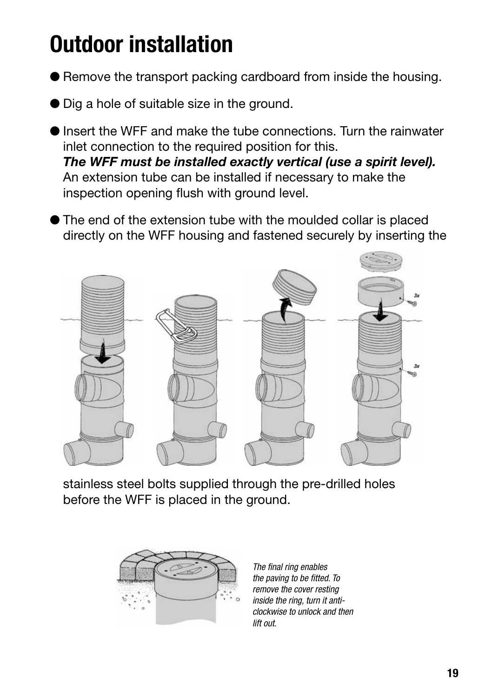# **Outdoor installation**

- Remove the transport packing cardboard from inside the housing.
- Dig a hole of suitable size in the ground.
- Insert the WFF and make the tube connections. Turn the rainwater inlet connection to the required position for this. *The WFF must be installed exactly vertical (use a spirit level).* An extension tube can be installed if necessary to make the inspection opening flush with ground level.
- The end of the extension tube with the moulded collar is placed directly on the WFF housing and fastened securely by inserting the



stainless steel bolts supplied through the pre-drilled holes before the WFF is placed in the ground.



*The final ring enables the paving to be fitted. To remove the cover resting inside the ring, turn it anticlockwise to unlock and then lift out.*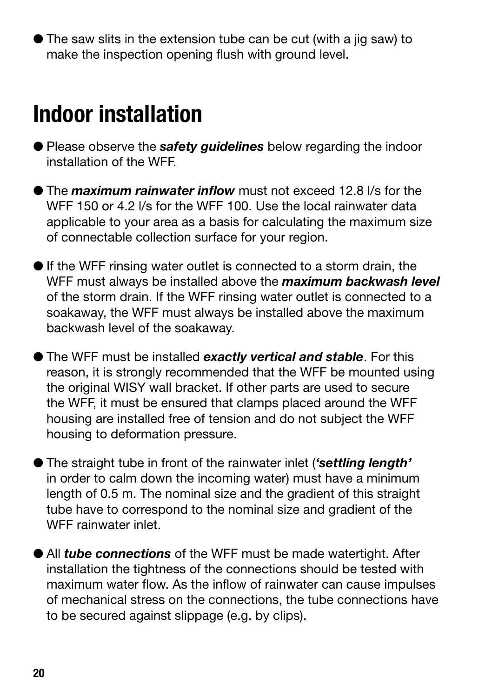● The saw slits in the extension tube can be cut (with a jig saw) to make the inspection opening flush with ground level.

### **Indoor installation**

- Please observe the *safety guidelines* below regarding the indoor installation of the WFF.
- **The** *maximum rainwater inflow* must not exceed 12.8 l/s for the WFF 150 or 4.2 l/s for the WFF 100. Use the local rainwater data applicable to your area as a basis for calculating the maximum size of connectable collection surface for your region.
- $\bullet$  If the WFF rinsing water outlet is connected to a storm drain, the WFF must always be installed above the *maximum backwash level* of the storm drain. If the WFF rinsing water outlet is connected to a soakaway, the WFF must always be installed above the maximum backwash level of the soakaway.
- The WFF must be installed *exactly vertical and stable*. For this reason, it is strongly recommended that the WFF be mounted using the original WISY wall bracket. If other parts are used to secure the WFF, it must be ensured that clamps placed around the WFF housing are installed free of tension and do not subject the WFF housing to deformation pressure.
- The straight tube in front of the rainwater inlet (*'settling length'* in order to calm down the incoming water) must have a minimum length of 0.5 m. The nominal size and the gradient of this straight tube have to correspond to the nominal size and gradient of the WFF rainwater inlet.
- All *tube connections* of the WFF must be made watertight. After installation the tightness of the connections should be tested with maximum water flow. As the inflow of rainwater can cause impulses of mechanical stress on the connections, the tube connections have to be secured against slippage (e.g. by clips).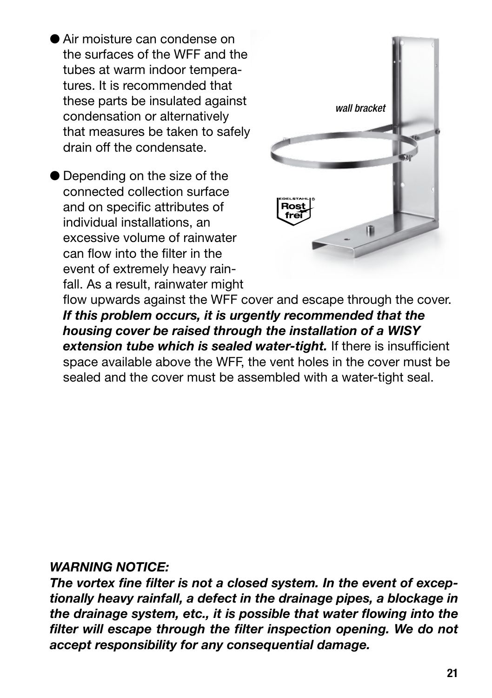- Air moisture can condense on the surfaces of the WFF and the tubes at warm indoor temperatures. It is recommended that these parts be insulated against condensation or alternatively that measures be taken to safely drain off the condensate.
- Depending on the size of the connected collection surface and on specific attributes of individual installations, an excessive volume of rainwater can flow into the filter in the event of extremely heavy rainfall. As a result, rainwater might



flow upwards against the WFF cover and escape through the cover. *If this problem occurs, it is urgently recommended that the housing cover be raised through the installation of a WISY extension tube which is sealed water-tight.* If there is insufficient space available above the WFF, the vent holes in the cover must be sealed and the cover must be assembled with a water-tight seal.

#### *WARNING NOTICE:*

*The vortex fine filter is not a closed system. In the event of exceptionally heavy rainfall, a defect in the drainage pipes, a blockage in the drainage system, etc., it is possible that water flowing into the filter will escape through the filter inspection opening. We do not accept responsibility for any consequential damage.*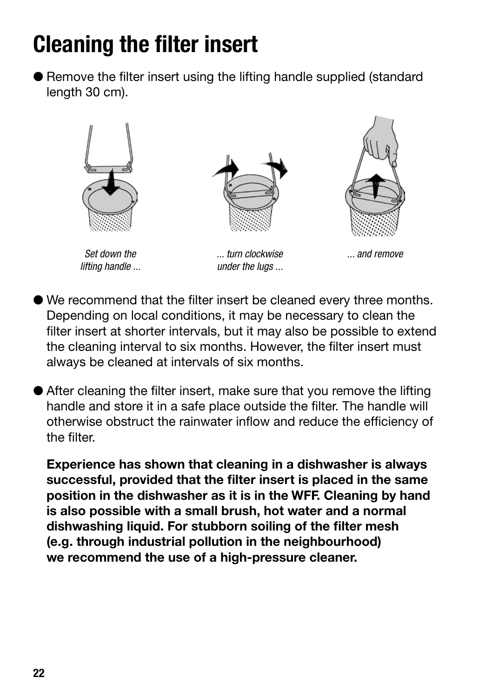# **Cleaning the filter insert**

● Remove the filter insert using the lifting handle supplied (standard) length 30 cm).



- We recommend that the filter insert be cleaned every three months. Depending on local conditions, it may be necessary to clean the filter insert at shorter intervals, but it may also be possible to extend the cleaning interval to six months. However, the filter insert must always be cleaned at intervals of six months.
- After cleaning the filter insert, make sure that you remove the lifting handle and store it in a safe place outside the filter. The handle will otherwise obstruct the rainwater inflow and reduce the efficiency of the filter.

**Experience has shown that cleaning in a dishwasher is always successful, provided that the filter insert is placed in the same position in the dishwasher as it is in the WFF. Cleaning by hand is also possible with a small brush, hot water and a normal dishwashing liquid. For stubborn soiling of the filter mesh (e.g. through industrial pollution in the neighbourhood) we recommend the use of a high-pressure cleaner.**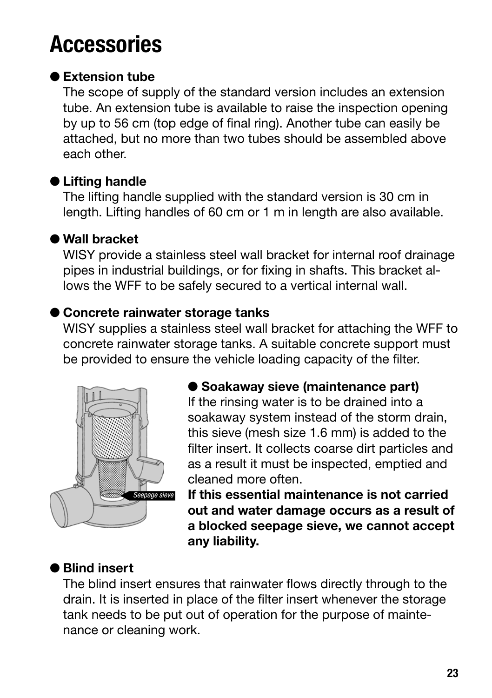### **Accessories**

#### **Extension tube**

The scope of supply of the standard version includes an extension tube. An extension tube is available to raise the inspection opening by up to 56 cm (top edge of final ring). Another tube can easily be attached, but no more than two tubes should be assembled above each other.

#### **Lifting handle**

The lifting handle supplied with the standard version is 30 cm in length. Lifting handles of 60 cm or 1 m in length are also available.

#### **Wall bracket**

WISY provide a stainless steel wall bracket for internal roof drainage pipes in industrial buildings, or for fixing in shafts. This bracket allows the WFF to be safely secured to a vertical internal wall.

#### **Concrete rainwater storage tanks**

WISY supplies a stainless steel wall bracket for attaching the WFF to concrete rainwater storage tanks. A suitable concrete support must be provided to ensure the vehicle loading capacity of the filter.



#### **Soakaway sieve (maintenance part)**

If the rinsing water is to be drained into a soakaway system instead of the storm drain, this sieve (mesh size 1.6 mm) is added to the filter insert. It collects coarse dirt particles and as a result it must be inspected, emptied and cleaned more often.

**If this essential maintenance is not carried out and water damage occurs as a result of a blocked seepage sieve, we cannot accept any liability.**

#### **Blind insert**

The blind insert ensures that rainwater flows directly through to the drain. It is inserted in place of the filter insert whenever the storage tank needs to be put out of operation for the purpose of maintenance or cleaning work.